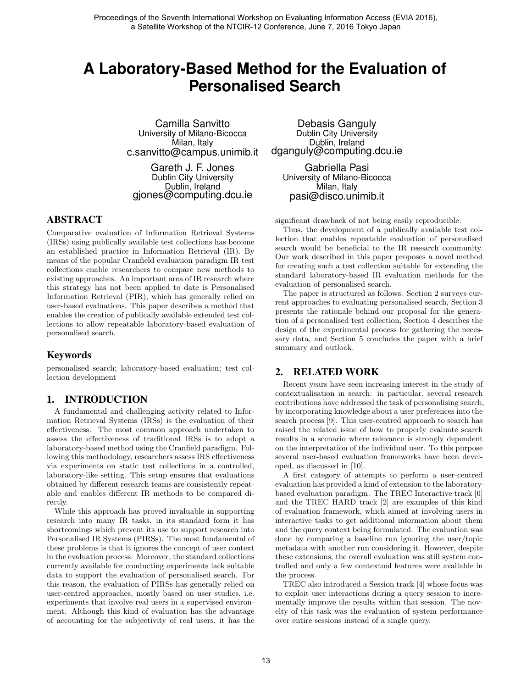# **A Laboratory-Based Method for the Evaluation of Personalised Search**

Camilla Sanvitto University of Milano-Bicocca Milan, Italy c.sanvitto@campus.unimib.it

Gareth J. F. Jones Dublin City University Dublin, Ireland gjones@computing.dcu.ie

# ABSTRACT

Comparative evaluation of Information Retrieval Systems (IRSs) using publically available test collections has become an established practice in Information Retrieval (IR). By means of the popular Cranfield evaluation paradigm IR test collections enable researchers to compare new methods to existing approaches. An important area of IR research where this strategy has not been applied to date is Personalised Information Retrieval (PIR), which has generally relied on user-based evaluations. This paper describes a method that enables the creation of publically available extended test collections to allow repeatable laboratory-based evaluation of personalised search.

### Keywords

personalised search; laboratory-based evaluation; test collection development

# 1. INTRODUCTION

A fundamental and challenging activity related to Information Retrieval Systems (IRSs) is the evaluation of their effectiveness. The most common approach undertaken to assess the effectiveness of traditional IRSs is to adopt a laboratory-based method using the Cranfield paradigm. Following this methodology, researchers assess IRS effectiveness via experiments on static test collections in a controlled, laboratory-like setting. This setup ensures that evaluations obtained by different research teams are consistently repeatable and enables different IR methods to be compared directly.

While this approach has proved invaluable in supporting research into many IR tasks, in its standard form it has shortcomings which prevent its use to support research into Personalised IR Systems (PIRSs). The most fundamental of these problems is that it ignores the concept of user context in the evaluation process. Moreover, the standard collections currently available for conducting experiments lack suitable data to support the evaluation of personalised search. For this reason, the evaluation of PIRSs has generally relied on user-centred approaches, mostly based on user studies, i.e. experiments that involve real users in a supervised environment. Although this kind of evaluation has the advantage of accounting for the subjectivity of real users, it has the

Debasis Ganguly Dublin City University Dublin, Ireland dganguly@computing.dcu.ie

Gabriella Pasi University of Milano-Bicocca Milan, Italy pasi@disco.unimib.it

significant drawback of not being easily reproducible.

Thus, the development of a publically available test collection that enables repeatable evaluation of personalised search would be beneficial to the IR research community. Our work described in this paper proposes a novel method for creating such a test collection suitable for extending the standard laboratory-based IR evaluation methods for the evaluation of personalised search.

The paper is structured as follows: Section 2 surveys current approaches to evaluating personalised search, Section 3 presents the rationale behind our proposal for the generation of a personalised test collection, Section 4 describes the design of the experimental process for gathering the necessary data, and Section 5 concludes the paper with a brief summary and outlook.

# 2. RELATED WORK

Recent years have seen increasing interest in the study of contextualisation in search: in particular, several research contributions have addressed the task of personalising search, by incorporating knowledge about a user preferences into the search process [9]. This user-centred approach to search has raised the related issue of how to properly evaluate search results in a scenario where relevance is strongly dependent on the interpretation of the individual user. To this purpose several user-based evaluation frameworks have been developed, as discussed in [10].

A first category of attempts to perform a user-centred evaluation has provided a kind of extension to the laboratorybased evaluation paradigm. The TREC Interactive track [6] and the TREC HARD track [2] are examples of this kind of evaluation framework, which aimed at involving users in interactive tasks to get additional information about them and the query context being formulated. The evaluation was done by comparing a baseline run ignoring the user/topic metadata with another run considering it. However, despite these extensions, the overall evaluation was still system controlled and only a few contextual features were available in the process.

TREC also introduced a Session track [4] whose focus was to exploit user interactions during a query session to incrementally improve the results within that session. The novelty of this task was the evaluation of system performance over entire sessions instead of a single query.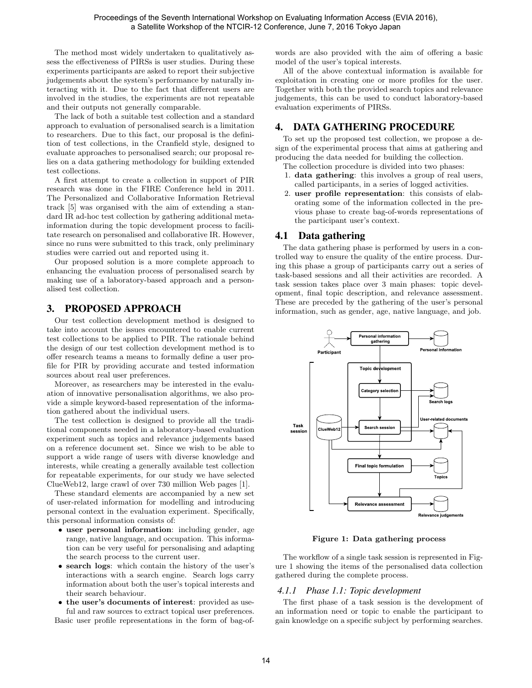The method most widely undertaken to qualitatively assess the effectiveness of PIRSs is user studies. During these experiments participants are asked to report their subjective judgements about the system's performance by naturally interacting with it. Due to the fact that different users are involved in the studies, the experiments are not repeatable and their outputs not generally comparable.

The lack of both a suitable test collection and a standard approach to evaluation of personalised search is a limitation to researchers. Due to this fact, our proposal is the definition of test collections, in the Cranfield style, designed to evaluate approaches to personalised search; our proposal relies on a data gathering methodology for building extended test collections.

A first attempt to create a collection in support of PIR research was done in the FIRE Conference held in 2011. The Personalized and Collaborative Information Retrieval track [5] was organised with the aim of extending a standard IR ad-hoc test collection by gathering additional metainformation during the topic development process to facilitate research on personalised and collaborative IR. However, since no runs were submitted to this track, only preliminary studies were carried out and reported using it.

Our proposed solution is a more complete approach to enhancing the evaluation process of personalised search by making use of a laboratory-based approach and a personalised test collection.

# 3. PROPOSED APPROACH

Our test collection development method is designed to take into account the issues encountered to enable current test collections to be applied to PIR. The rationale behind the design of our test collection development method is to offer research teams a means to formally define a user profile for PIR by providing accurate and tested information sources about real user preferences.

Moreover, as researchers may be interested in the evaluation of innovative personalisation algorithms, we also provide a simple keyword-based representation of the information gathered about the individual users.

The test collection is designed to provide all the traditional components needed in a laboratory-based evaluation experiment such as topics and relevance judgements based on a reference document set. Since we wish to be able to support a wide range of users with diverse knowledge and interests, while creating a generally available test collection for repeatable experiments, for our study we have selected ClueWeb12, large crawl of over 730 million Web pages [1].

These standard elements are accompanied by a new set of user-related information for modelling and introducing personal context in the evaluation experiment. Specifically, this personal information consists of:

- user personal information: including gender, age range, native language, and occupation. This information can be very useful for personalising and adapting the search process to the current user.
- search logs: which contain the history of the user's interactions with a search engine. Search logs carry information about both the user's topical interests and their search behaviour.
- the user's documents of interest: provided as useful and raw sources to extract topical user preferences. Basic user profile representations in the form of bag-of-

words are also provided with the aim of offering a basic model of the user's topical interests.

All of the above contextual information is available for exploitation in creating one or more profiles for the user. Together with both the provided search topics and relevance judgements, this can be used to conduct laboratory-based evaluation experiments of PIRSs.

### 4. DATA GATHERING PROCEDURE

To set up the proposed test collection, we propose a design of the experimental process that aims at gathering and producing the data needed for building the collection.

- The collection procedure is divided into two phases: 1. data gathering: this involves a group of real users, called participants, in a series of logged activities.
- 2. user profile representation: this consists of elaborating some of the information collected in the previous phase to create bag-of-words representations of the participant user's context.

### 4.1 Data gathering

The data gathering phase is performed by users in a controlled way to ensure the quality of the entire process. During this phase a group of participants carry out a series of task-based sessions and all their activities are recorded. A task session takes place over 3 main phases: topic development, final topic description, and relevance assessment. These are preceded by the gathering of the user's personal information, such as gender, age, native language, and job.



Figure 1: Data gathering process

The workflow of a single task session is represented in Figure 1 showing the items of the personalised data collection gathered during the complete process.

### *4.1.1 Phase 1.1: Topic development*

The first phase of a task session is the development of an information need or topic to enable the participant to gain knowledge on a specific subject by performing searches.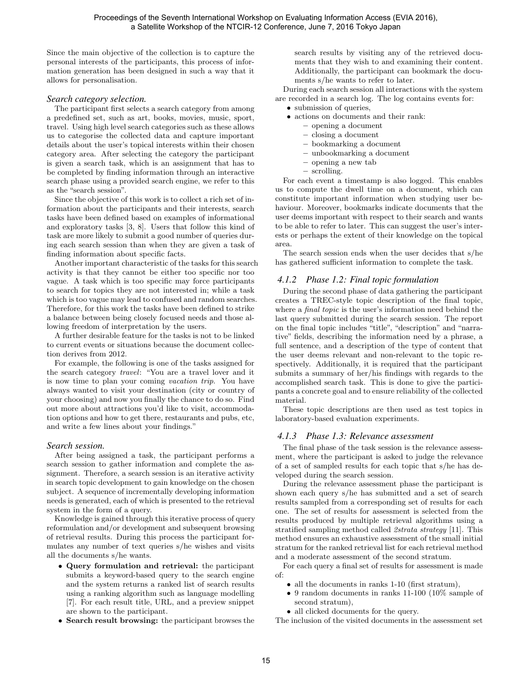Since the main objective of the collection is to capture the personal interests of the participants, this process of information generation has been designed in such a way that it allows for personalisation.

#### *Search category selection.*

The participant first selects a search category from among a predefined set, such as art, books, movies, music, sport, travel. Using high level search categories such as these allows us to categorise the collected data and capture important details about the user's topical interests within their chosen category area. After selecting the category the participant is given a search task, which is an assignment that has to be completed by finding information through an interactive search phase using a provided search engine, we refer to this as the "search session".

Since the objective of this work is to collect a rich set of information about the participants and their interests, search tasks have been defined based on examples of informational and exploratory tasks [3, 8]. Users that follow this kind of task are more likely to submit a good number of queries during each search session than when they are given a task of finding information about specific facts.

Another important characteristic of the tasks for this search activity is that they cannot be either too specific nor too vague. A task which is too specific may force participants to search for topics they are not interested in; while a task which is too vague may lead to confused and random searches. Therefore, for this work the tasks have been defined to strike a balance between being closely focused needs and those allowing freedom of interpretation by the users.

A further desirable feature for the tasks is not to be linked to current events or situations because the document collection derives from 2012.

For example, the following is one of the tasks assigned for the search category travel: "You are a travel lover and it is now time to plan your coming vacation trip. You have always wanted to visit your destination (city or country of your choosing) and now you finally the chance to do so. Find out more about attractions you'd like to visit, accommodation options and how to get there, restaurants and pubs, etc, and write a few lines about your findings."

#### *Search session.*

After being assigned a task, the participant performs a search session to gather information and complete the assignment. Therefore, a search session is an iterative activity in search topic development to gain knowledge on the chosen subject. A sequence of incrementally developing information needs is generated, each of which is presented to the retrieval system in the form of a query.

Knowledge is gained through this iterative process of query reformulation and/or development and subsequent browsing of retrieval results. During this process the participant formulates any number of text queries s/he wishes and visits all the documents s/he wants.

- Query formulation and retrieval: the participant submits a keyword-based query to the search engine and the system returns a ranked list of search results using a ranking algorithm such as language modelling [7]. For each result title, URL, and a preview snippet are shown to the participant.
- Search result browsing: the participant browses the

search results by visiting any of the retrieved documents that they wish to and examining their content. Additionally, the participant can bookmark the documents s/he wants to refer to later.

During each search session all interactions with the system are recorded in a search log. The log contains events for:

- submission of queries,
- actions on documents and their rank:
	- opening a document
	- closing a document
	- bookmarking a document
	- unbookmarking a document
	- opening a new tab
	- scrolling.

For each event a timestamp is also logged. This enables us to compute the dwell time on a document, which can constitute important information when studying user behaviour. Moreover, bookmarks indicate documents that the user deems important with respect to their search and wants to be able to refer to later. This can suggest the user's interests or perhaps the extent of their knowledge on the topical area.

The search session ends when the user decides that s/he has gathered sufficient information to complete the task.

### *4.1.2 Phase 1.2: Final topic formulation*

During the second phase of data gathering the participant creates a TREC-style topic description of the final topic, where a *final topic* is the user's information need behind the last query submitted during the search session. The report on the final topic includes "title", "description" and "narrative" fields, describing the information need by a phrase, a full sentence, and a description of the type of content that the user deems relevant and non-relevant to the topic respectively. Additionally, it is required that the participant submits a summary of her/his findings with regards to the accomplished search task. This is done to give the participants a concrete goal and to ensure reliability of the collected material.

These topic descriptions are then used as test topics in laboratory-based evaluation experiments.

#### *4.1.3 Phase 1.3: Relevance assessment*

The final phase of the task session is the relevance assessment, where the participant is asked to judge the relevance of a set of sampled results for each topic that s/he has developed during the search session.

During the relevance assessment phase the participant is shown each query s/he has submitted and a set of search results sampled from a corresponding set of results for each one. The set of results for assessment is selected from the results produced by multiple retrieval algorithms using a stratified sampling method called 2strata strategy [11]. This method ensures an exhaustive assessment of the small initial stratum for the ranked retrieval list for each retrieval method and a moderate assessment of the second stratum.

For each query a final set of results for assessment is made of:

- all the documents in ranks 1-10 (first stratum),
- 9 random documents in ranks 11-100 (10% sample of second stratum),
- all clicked documents for the query.

The inclusion of the visited documents in the assessment set